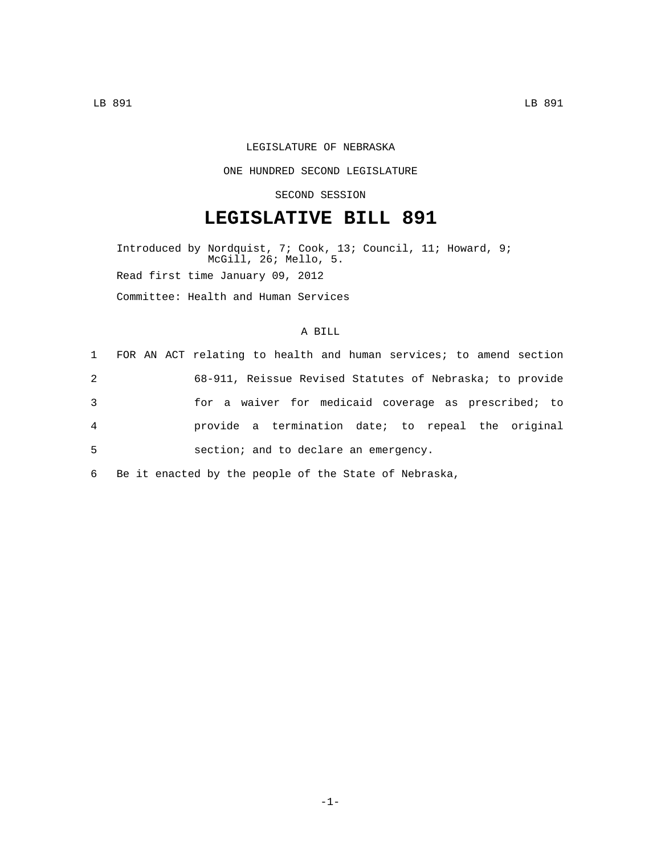## LEGISLATURE OF NEBRASKA

## ONE HUNDRED SECOND LEGISLATURE

## SECOND SESSION

# **LEGISLATIVE BILL 891**

Introduced by Nordquist, 7; Cook, 13; Council, 11; Howard, 9; McGill, 26; Mello, 5. Read first time January 09, 2012 Committee: Health and Human Services

## A BILL

|                | 1 FOR AN ACT relating to health and human services; to amend section |
|----------------|----------------------------------------------------------------------|
| 2              | 68-911, Reissue Revised Statutes of Nebraska; to provide             |
| 3              | for a waiver for medicaid coverage as prescribed; to                 |
| $\overline{4}$ | provide a termination date; to repeal the original                   |
| 5              | section; and to declare an emergency.                                |
|                |                                                                      |

6 Be it enacted by the people of the State of Nebraska,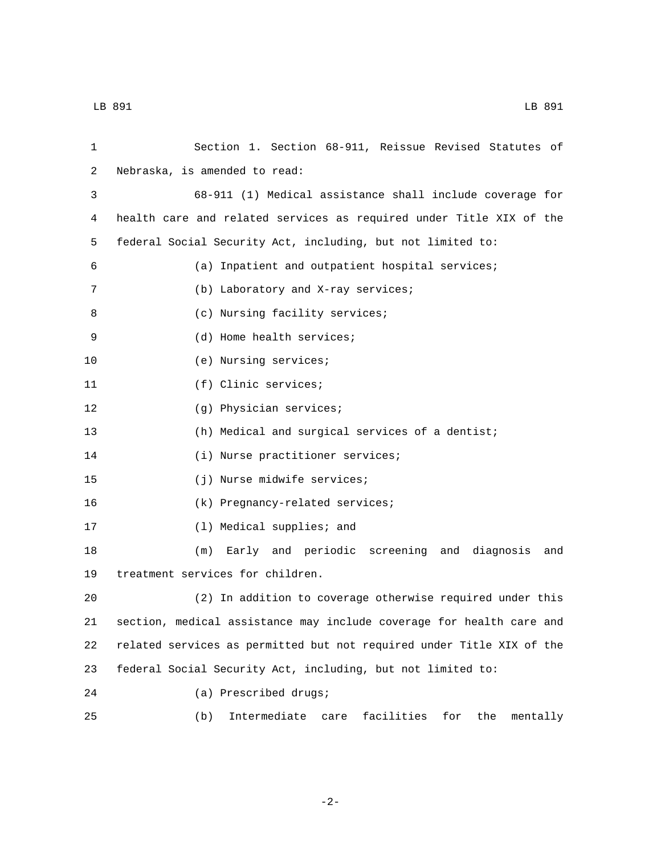| 1  | Section 1. Section 68-911, Reissue Revised Statutes of                |
|----|-----------------------------------------------------------------------|
| 2  | Nebraska, is amended to read:                                         |
| 3  | 68-911 (1) Medical assistance shall include coverage for              |
| 4  | health care and related services as required under Title XIX of the   |
| 5  | federal Social Security Act, including, but not limited to:           |
| 6  | (a) Inpatient and outpatient hospital services;                       |
| 7  | (b) Laboratory and X-ray services;                                    |
| 8  | (c) Nursing facility services;                                        |
| 9  | (d) Home health services;                                             |
| 10 | (e) Nursing services;                                                 |
| 11 | (f) Clinic services;                                                  |
| 12 | (g) Physician services;                                               |
| 13 | (h) Medical and surgical services of a dentist;                       |
| 14 | (i) Nurse practitioner services;                                      |
| 15 | (j) Nurse midwife services;                                           |
| 16 | (k) Pregnancy-related services;                                       |
| 17 | (1) Medical supplies; and                                             |
| 18 | Early and periodic screening and diagnosis<br>(m)<br>and              |
| 19 | treatment services for children.                                      |
| 20 | (2) In addition to coverage otherwise required under this             |
| 21 | section, medical assistance may include coverage for health care and  |
| 22 | related services as permitted but not required under Title XIX of the |
| 23 | federal Social Security Act, including, but not limited to:           |
| 24 | (a) Prescribed drugs;                                                 |
| 25 | Intermediate<br>facilities<br>for<br>the<br>(b)<br>care<br>mentally   |

-2-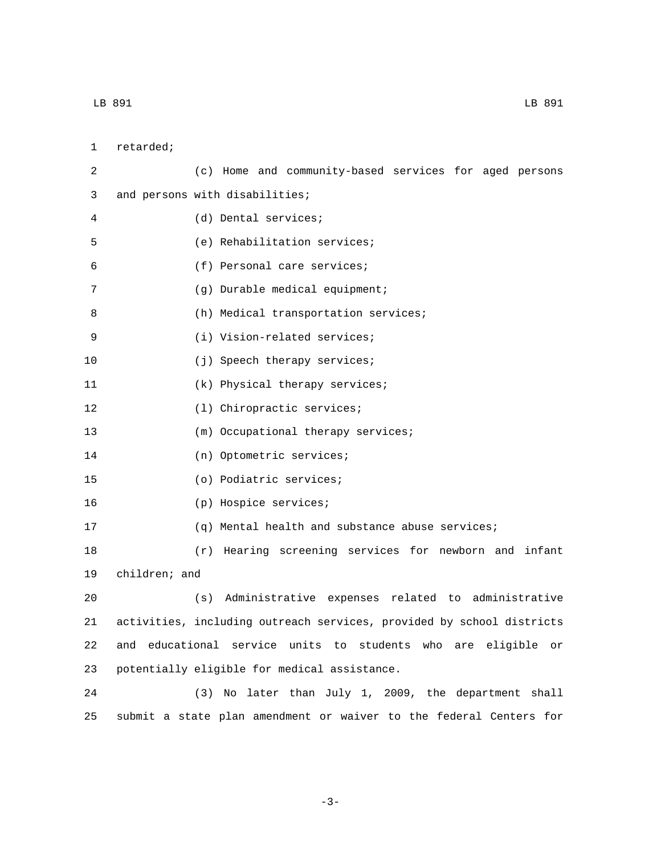1 retarded; 2 (c) Home and community-based services for aged persons 3 and persons with disabilities; (d) Dental services;4 5 (e) Rehabilitation services; (f) Personal care services;6 (g) Durable medical equipment;7 8 (h) Medical transportation services; 9 (i) Vision-related services; 10 (j) Speech therapy services; 11 (k) Physical therapy services; 12 (1) Chiropractic services; 13 (m) Occupational therapy services; 14 (n) Optometric services; (o) Podiatric services;15 16 (p) Hospice services; 17 (q) Mental health and substance abuse services; 18 (r) Hearing screening services for newborn and infant 19 children; and 20 (s) Administrative expenses related to administrative 21 activities, including outreach services, provided by school districts 22 and educational service units to students who are eligible or 23 potentially eligible for medical assistance. 24 (3) No later than July 1, 2009, the department shall

-3-

25 submit a state plan amendment or waiver to the federal Centers for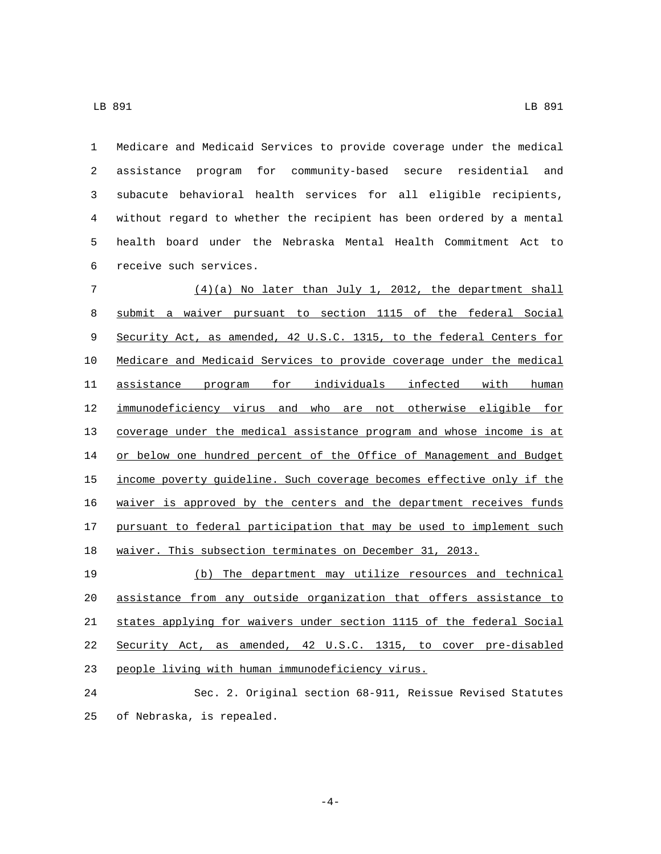Medicare and Medicaid Services to provide coverage under the medical assistance program for community-based secure residential and subacute behavioral health services for all eligible recipients, without regard to whether the recipient has been ordered by a mental health board under the Nebraska Mental Health Commitment Act to 6 receive such services.

 (4)(a) No later than July 1, 2012, the department shall submit a waiver pursuant to section 1115 of the federal Social Security Act, as amended, 42 U.S.C. 1315, to the federal Centers for Medicare and Medicaid Services to provide coverage under the medical assistance program for individuals infected with human immunodeficiency virus and who are not otherwise eligible for coverage under the medical assistance program and whose income is at or below one hundred percent of the Office of Management and Budget income poverty guideline. Such coverage becomes effective only if the waiver is approved by the centers and the department receives funds pursuant to federal participation that may be used to implement such waiver. This subsection terminates on December 31, 2013.

 (b) The department may utilize resources and technical assistance from any outside organization that offers assistance to states applying for waivers under section 1115 of the federal Social Security Act, as amended, 42 U.S.C. 1315, to cover pre-disabled 23 people living with human immunodeficiency virus.

 Sec. 2. Original section 68-911, Reissue Revised Statutes 25 of Nebraska, is repealed.

-4-